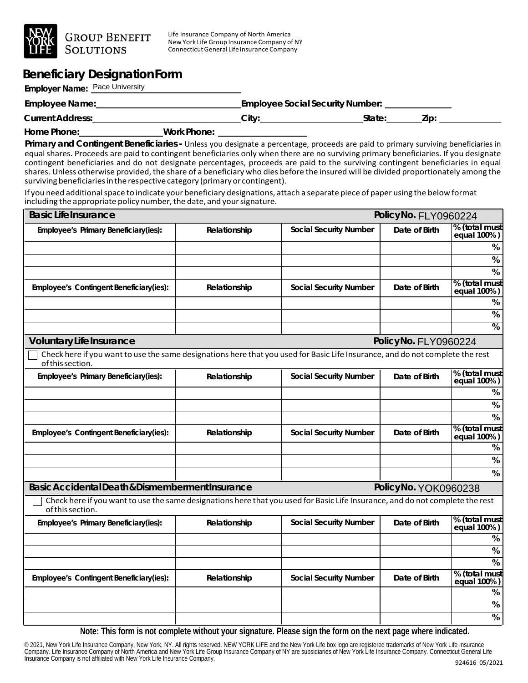

Life Insurance Company of North America New York Life Group Insurance Company of NY ConnecticutGeneral Life Insurance Company

## **Beneficiary DesignationForm**

**Employer Name:** Pace University

| Employee Name:          |             | <b>Employee Social Security Number:</b> |        |     |  |
|-------------------------|-------------|-----------------------------------------|--------|-----|--|
| <b>Current Address:</b> |             | Citv:                                   | State: | Zip |  |
| Home Phone:             | Work Phone: |                                         |        |     |  |

**Primary and Contingent Beneficiaries -** Unless you designate a percentage, proceeds are paid to primary surviving beneficiaries in equal shares. Proceeds are paid to contingent beneficiaries only when there are no surviving primary beneficiaries. If you designate contingent beneficiaries and do not designate percentages, proceeds are paid to the surviving contingent beneficiaries in equal shares. Unless otherwise provided, the share of a beneficiary who dies before the insured will be divided proportionately among the surviving beneficiaries in the respective category (primary or contingent).

If you need additional space to indicate your beneficiary designations, attach a separate piece of paper using the below format including the appropriate policy number, the date, and your signature.

| <b>BasicLifeInsurance</b><br>PolicyNo. FLY0960224                                                                                                 |              |                               |                      |                              |  |
|---------------------------------------------------------------------------------------------------------------------------------------------------|--------------|-------------------------------|----------------------|------------------------------|--|
| Employee's Primary Beneficiary(ies):                                                                                                              | Relationship | <b>Social Security Number</b> | Date of Birth        | % (total must<br>equal 100%) |  |
|                                                                                                                                                   |              |                               |                      | $\%$                         |  |
|                                                                                                                                                   |              |                               |                      | %                            |  |
|                                                                                                                                                   |              |                               |                      | %                            |  |
| Employee's Contingent Beneficiary(ies):                                                                                                           | Relationship | <b>Social Security Number</b> | Date of Birth        | % (total must<br>equal 100%) |  |
|                                                                                                                                                   |              |                               |                      | %                            |  |
|                                                                                                                                                   |              |                               |                      | $\%$                         |  |
|                                                                                                                                                   |              |                               |                      | $\overline{\%}$              |  |
| <b>Voluntary Life Insurance</b>                                                                                                                   |              |                               | PolicyNo. FLY0960224 |                              |  |
| Check here if you want to use the same designations here that you used for Basic Life Insurance, and do not complete the rest<br>of this section. |              |                               |                      |                              |  |
| Employee's Primary Beneficiary(ies):                                                                                                              | Relationship | <b>Social Security Number</b> | Date of Birth        | % (total must<br>equal 100%) |  |
|                                                                                                                                                   |              |                               |                      | %                            |  |
|                                                                                                                                                   |              |                               |                      | %                            |  |
|                                                                                                                                                   |              |                               |                      | %                            |  |
| Employee's Contingent Beneficiary(ies):                                                                                                           | Relationship | <b>Social Security Number</b> | Date of Birth        | % (total must<br>equal 100%) |  |
|                                                                                                                                                   |              |                               |                      | %                            |  |
|                                                                                                                                                   |              |                               |                      | $\%$                         |  |
|                                                                                                                                                   |              |                               |                      | %                            |  |
| Basic Accidental Death & Dismemberment Insurance<br>PolicyNo. YOK0960238                                                                          |              |                               |                      |                              |  |
| Check here if you want to use the same designations here that you used for Basic Life Insurance, and do not complete the rest<br>of this section. |              |                               |                      |                              |  |
| Employee's Primary Beneficiary(ies):                                                                                                              | Relationship | <b>Social Security Number</b> | Date of Birth        | % (total must<br>equal 100%) |  |
|                                                                                                                                                   |              |                               |                      | %                            |  |
|                                                                                                                                                   |              |                               |                      | $\%$                         |  |
|                                                                                                                                                   |              |                               |                      | $\overline{\%}$              |  |
| Employee's Contingent Beneficiary(ies):                                                                                                           | Relationship | <b>Social Security Number</b> | Date of Birth        | % (total must<br>equal 100%) |  |
|                                                                                                                                                   |              |                               |                      | $\%$                         |  |
|                                                                                                                                                   |              |                               |                      | $\%$                         |  |
|                                                                                                                                                   |              |                               |                      | $\%$                         |  |

**Note: This form is not complete without your signature. Please sign the form on the next page where indicated.**

© 2021, New York Life Insurance Company, New York, NY. All rights reserved. NEW YORK LIFE and the New York Life box logo are registered trademarks of New York Life Insurance Company. Life Insurance Company of North America and New York Life Group Insurance Company of NY are subsidiaries of New York Life Insurance Company. Connecticut General Life Insurance Company is not affiliated with New York Life Insurance Company. 924616 05/2021